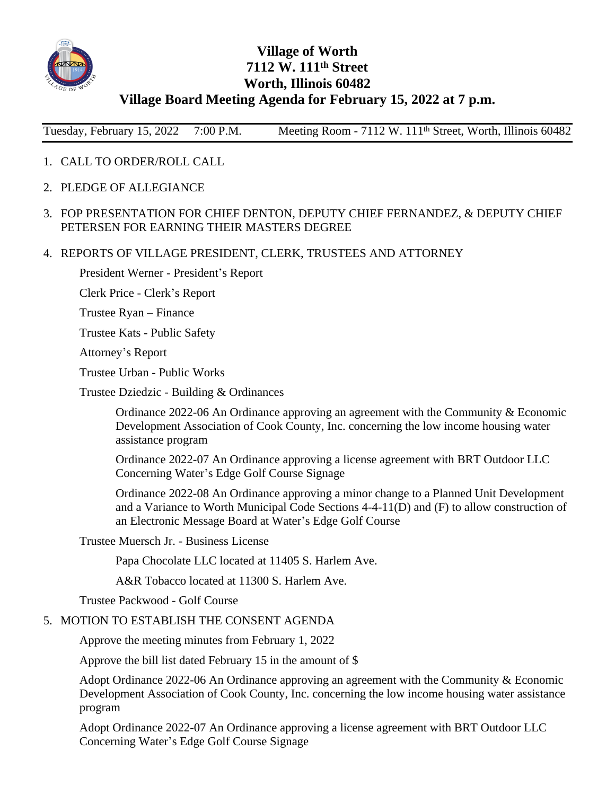

## **Village of Worth 7112 W. 111th Street Worth, Illinois 60482 Village Board Meeting Agenda for February 15, 2022 at 7 p.m.**

Tuesday, February 15, 2022 7:00 P.M. Meeting Room - 7112 W. 111<sup>th</sup> Street, Worth, Illinois 60482

- 1. CALL TO ORDER/ROLL CALL
- 2. PLEDGE OF ALLEGIANCE
- 3. FOP PRESENTATION FOR CHIEF DENTON, DEPUTY CHIEF FERNANDEZ, & DEPUTY CHIEF PETERSEN FOR EARNING THEIR MASTERS DEGREE
- 4. REPORTS OF VILLAGE PRESIDENT, CLERK, TRUSTEES AND ATTORNEY

President Werner - President's Report

Clerk Price - Clerk's Report

Trustee Ryan – Finance

Trustee Kats - Public Safety

Attorney's Report

Trustee Urban - Public Works

Trustee Dziedzic - Building & Ordinances

Ordinance 2022-06 An Ordinance approving an agreement with the Community & Economic Development Association of Cook County, Inc. concerning the low income housing water assistance program

Ordinance 2022-07 An Ordinance approving a license agreement with BRT Outdoor LLC Concerning Water's Edge Golf Course Signage

Ordinance 2022-08 An Ordinance approving a minor change to a Planned Unit Development and a Variance to Worth Municipal Code Sections 4-4-11(D) and (F) to allow construction of an Electronic Message Board at Water's Edge Golf Course

Trustee Muersch Jr. - Business License

Papa Chocolate LLC located at 11405 S. Harlem Ave.

A&R Tobacco located at 11300 S. Harlem Ave.

Trustee Packwood - Golf Course

## 5. MOTION TO ESTABLISH THE CONSENT AGENDA

Approve the meeting minutes from February 1, 2022

Approve the bill list dated February 15 in the amount of \$

Adopt Ordinance 2022-06 An Ordinance approving an agreement with the Community & Economic Development Association of Cook County, Inc. concerning the low income housing water assistance program

Adopt Ordinance 2022-07 An Ordinance approving a license agreement with BRT Outdoor LLC Concerning Water's Edge Golf Course Signage